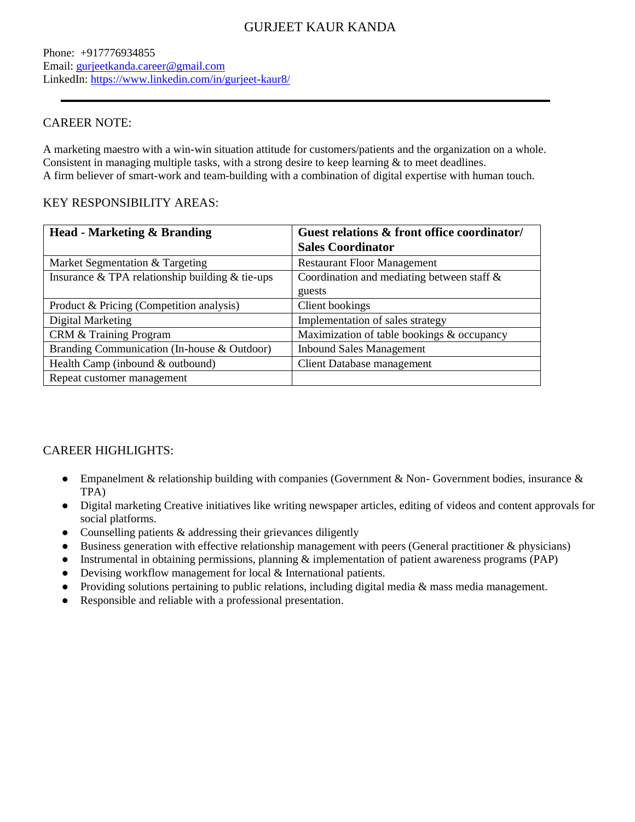# GURJEET KAUR KANDA

Phone: +917776934855 Email: [gurjeetkanda.career@gmail.com](mailto:gurjeetkanda.career@gmail.com) LinkedIn:<https://www.linkedin.com/in/gurjeet-kaur8/>

#### CAREER NOTE:

A marketing maestro with a win-win situation attitude for customers/patients and the organization on a whole. Consistent in managing multiple tasks, with a strong desire to keep learning & to meet deadlines. A firm believer of smart-work and team-building with a combination of digital expertise with human touch.

#### KEY RESPONSIBILITY AREAS:

| <b>Head - Marketing &amp; Branding</b>              | Guest relations & front office coordinator/ |  |  |
|-----------------------------------------------------|---------------------------------------------|--|--|
|                                                     | <b>Sales Coordinator</b>                    |  |  |
| Market Segmentation & Targeting                     | <b>Restaurant Floor Management</b>          |  |  |
| Insurance $&$ TPA relationship building $&$ tie-ups | Coordination and mediating between staff &  |  |  |
|                                                     | guests                                      |  |  |
| Product & Pricing (Competition analysis)            | Client bookings                             |  |  |
| Digital Marketing                                   | Implementation of sales strategy            |  |  |
| CRM & Training Program                              | Maximization of table bookings & occupancy  |  |  |
| Branding Communication (In-house & Outdoor)         | <b>Inbound Sales Management</b>             |  |  |
| Health Camp (inbound & outbound)                    | Client Database management                  |  |  |
| Repeat customer management                          |                                             |  |  |

## CAREER HIGHLIGHTS:

- Empanelment & relationship building with companies (Government & Non-Government bodies, insurance & TPA)
- Digital marketing Creative initiatives like writing newspaper articles, editing of videos and content approvals for social platforms.
- Counselling patients  $&$  addressing their grievances diligently
- Business generation with effective relationship management with peers (General practitioner & physicians)
- Instrumental in obtaining permissions, planning & implementation of patient awareness programs (PAP)
- Devising workflow management for local & International patients.
- Providing solutions pertaining to public relations, including digital media & mass media management.
- Responsible and reliable with a professional presentation.